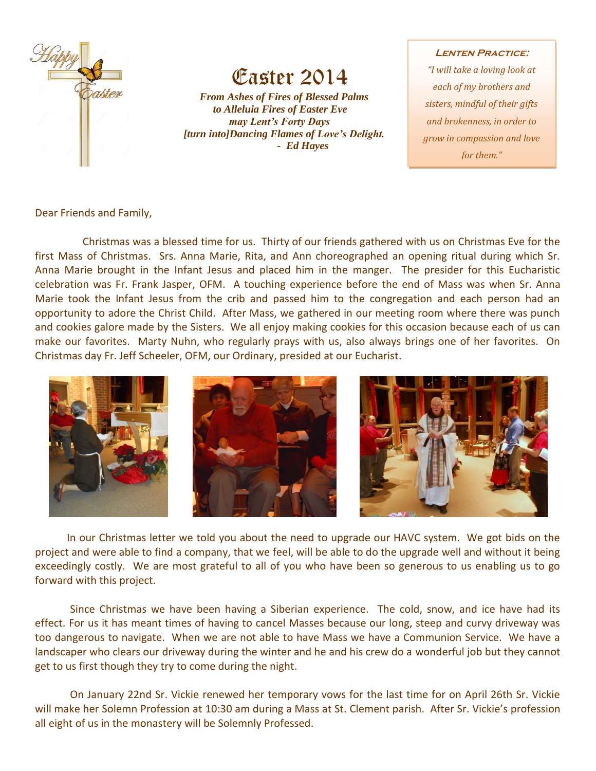

## Easter 2014

 *From Ashes of Fires of Blessed Palms to Alleluia Fires of Easter Eve may Lent's Forty Days [turn into]Dancing Flames of Love's Delight. - Ed Hayes*

## **Lenten Practice:**

*"I will take a loving look at each of my brothers and sisters, mindful of their gifts and brokenness, in order to grow in compassion and love for them."*

Dear Friends and Family,

 Christmas was a blessed time for us. Thirty of our friends gathered with us on Christmas Eve for the first Mass of Christmas. Srs. Anna Marie, Rita, and Ann choreographed an opening ritual during which Sr. Anna Marie brought in the Infant Jesus and placed him in the manger. The presider for this Eucharistic celebration was Fr. Frank Jasper, OFM. A touching experience before the end of Mass was when Sr. Anna Marie took the Infant Jesus from the crib and passed him to the congregation and each person had an opportunity to adore the Christ Child. After Mass, we gathered in our meeting room where there was punch and cookies galore made by the Sisters. We all enjoy making cookies for this occasion because each of us can make our favorites. Marty Nuhn, who regularly prays with us, also always brings one of her favorites. On Christmas day Fr. Jeff Scheeler, OFM, our Ordinary, presided at our Eucharist.



 In our Christmas letter we told you about the need to upgrade our HAVC system. We got bids on the project and were able to find a company, that we feel, will be able to do the upgrade well and without it being exceedingly costly. We are most grateful to all of you who have been so generous to us enabling us to go forward with this project.

Since Christmas we have been having a Siberian experience. The cold, snow, and ice have had its effect. For us it has meant times of having to cancel Masses because our long, steep and curvy driveway was too dangerous to navigate. When we are not able to have Mass we have a Communion Service. We have a landscaper who clears our driveway during the winter and he and his crew do a wonderful job but they cannot get to us first though they try to come during the night.

On January 22nd Sr. Vickie renewed her temporary vows for the last time for on April 26th Sr. Vickie will make her Solemn Profession at 10:30 am during a Mass at St. Clement parish. After Sr. Vickie's profession all eight of us in the monastery will be Solemnly Professed.